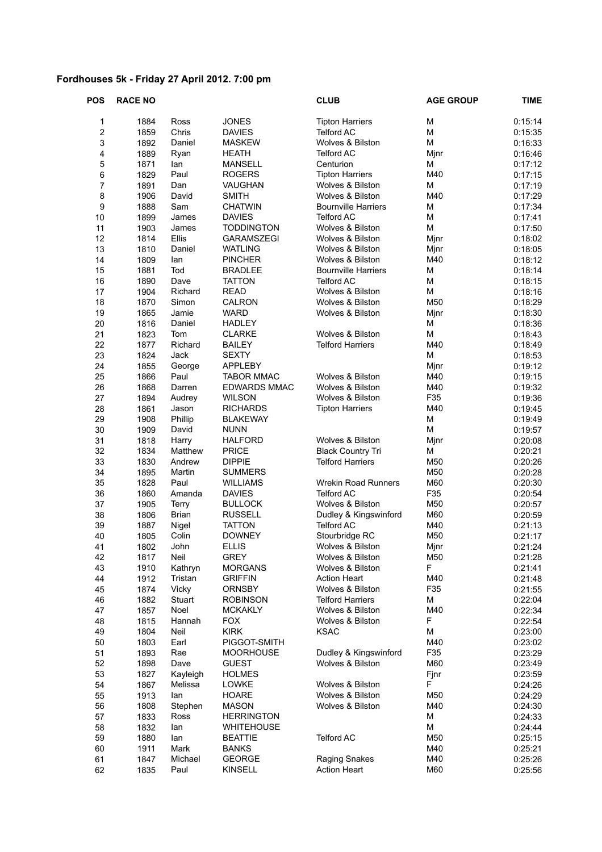## **Fordhouses 5k - Friday 27 April 2012. 7:00 pm**

| <b>POS</b>       | <b>RACE NO</b> |              |                   | <b>CLUB</b>                | <b>AGE GROUP</b> | <b>TIME</b> |
|------------------|----------------|--------------|-------------------|----------------------------|------------------|-------------|
| 1                | 1884           | Ross         | <b>JONES</b>      | <b>Tipton Harriers</b>     | M                | 0:15:14     |
| $\boldsymbol{2}$ | 1859           | Chris        | <b>DAVIES</b>     | <b>Telford AC</b>          | M                | 0:15:35     |
| 3                | 1892           | Daniel       | <b>MASKEW</b>     | Wolves & Bilston           | M                | 0:16:33     |
| 4                | 1889           | Ryan         | <b>HEATH</b>      | Telford AC                 | Mjnr             | 0:16:46     |
| 5                | 1871           | lan          | <b>MANSELL</b>    | Centurion                  | Μ                | 0:17:12     |
| 6                | 1829           | Paul         | <b>ROGERS</b>     | <b>Tipton Harriers</b>     | M40              | 0:17:15     |
| $\overline{7}$   | 1891           | Dan          | VAUGHAN           | Wolves & Bilston           | M                | 0:17:19     |
| 8                | 1906           | David        | <b>SMITH</b>      | Wolves & Bilston           | M40              | 0:17:29     |
| 9                | 1888           | Sam          | <b>CHATWIN</b>    | <b>Bournville Harriers</b> | M                | 0:17:34     |
| 10               | 1899           | James        | <b>DAVIES</b>     | <b>Telford AC</b>          | M                | 0:17:41     |
| 11               | 1903           | James        | <b>TODDINGTON</b> | Wolves & Bilston           | M                | 0:17:50     |
| 12               | 1814           | Ellis        | GARAMSZEGI        | Wolves & Bilston           | Mjnr             | 0:18:02     |
| 13               | 1810           | Daniel       | <b>WATLING</b>    | Wolves & Bilston           | Mjnr             | 0:18:05     |
| 14               | 1809           | lan          | <b>PINCHER</b>    | Wolves & Bilston           | M40              | 0:18:12     |
| 15               | 1881           | Tod          | <b>BRADLEE</b>    | <b>Bournville Harriers</b> | M                | 0:18:14     |
| 16               | 1890           | Dave         | <b>TATTON</b>     | <b>Telford AC</b>          | M                | 0:18:15     |
| 17               | 1904           | Richard      | <b>READ</b>       | Wolves & Bilston           | M                | 0:18:16     |
| 18               | 1870           | Simon        | CALRON            | Wolves & Bilston           | M50              | 0:18:29     |
| 19               | 1865           | Jamie        | <b>WARD</b>       | Wolves & Bilston           | Mjnr             | 0:18:30     |
| 20               | 1816           | Daniel       | <b>HADLEY</b>     |                            | M                | 0:18:36     |
| 21               | 1823           | Tom          | <b>CLARKE</b>     | Wolves & Bilston           | M                | 0:18:43     |
| 22               | 1877           | Richard      | <b>BAILEY</b>     | <b>Telford Harriers</b>    | M40              | 0:18:49     |
| 23               | 1824           | Jack         | <b>SEXTY</b>      |                            | M                | 0:18:53     |
| 24               | 1855           | George       | <b>APPLEBY</b>    |                            | Mjnr             | 0:19:12     |
| 25               | 1866           | Paul         | <b>TABOR MMAC</b> | Wolves & Bilston           | M40              | 0:19:15     |
| 26               | 1868           | Darren       | EDWARDS MMAC      | Wolves & Bilston           | M40              | 0:19:32     |
| 27               | 1894           | Audrey       | <b>WILSON</b>     | Wolves & Bilston           | F35              | 0:19:36     |
| 28               | 1861           | Jason        | <b>RICHARDS</b>   | <b>Tipton Harriers</b>     | M40              | 0:19:45     |
| 29               | 1908           | Phillip      | <b>BLAKEWAY</b>   |                            | M                | 0:19:49     |
| 30               | 1909           | David        | <b>NUNN</b>       |                            | M                | 0:19:57     |
| 31               | 1818           | Harry        | <b>HALFORD</b>    | Wolves & Bilston           | Mjnr             | 0:20:08     |
| 32               | 1834           | Matthew      | <b>PRICE</b>      | <b>Black Country Tri</b>   | М                | 0:20:21     |
| 33               | 1830           | Andrew       | <b>DIPPIE</b>     | <b>Telford Harriers</b>    | M50              | 0:20:26     |
| 34               | 1895           | Martin       | <b>SUMMERS</b>    |                            | M50              | 0:20:28     |
| 35               | 1828           | Paul         | <b>WILLIAMS</b>   | <b>Wrekin Road Runners</b> | M60              | 0:20:30     |
| 36               | 1860           | Amanda       | <b>DAVIES</b>     | <b>Telford AC</b>          | F35              | 0:20:54     |
| 37               | 1905           | <b>Terry</b> | <b>BULLOCK</b>    | Wolves & Bilston           | M50              | 0:20:57     |
| 38               | 1806           | <b>Brian</b> | <b>RUSSELL</b>    | Dudley & Kingswinford      | M60              | 0:20:59     |
| 39               | 1887           | Nigel        | <b>TATTON</b>     | <b>Telford AC</b>          | M40              | 0:21:13     |
| 40               | 1805           | Colin        | <b>DOWNEY</b>     | Stourbridge RC             | M50              | 0:21:17     |
| 41               | 1802           | John         | <b>ELLIS</b>      | Wolves & Bilston           | Mjnr             | 0:21:24     |
| 42               | 1817           | Neil         | <b>GREY</b>       | Wolves & Bilston           | M50              | 0:21:28     |
| 43               | 1910           | Kathryn      | <b>MORGANS</b>    | Wolves & Bilston           | F                | 0:21:41     |
| 44               | 1912           | Tristan      | <b>GRIFFIN</b>    | <b>Action Heart</b>        | M40              | 0:21:48     |
| 45               | 1874           | Vicky        | <b>ORNSBY</b>     | Wolves & Bilston           | F35              | 0:21:55     |
| 46               | 1882           | Stuart       | <b>ROBINSON</b>   | <b>Telford Harriers</b>    | M                | 0:22:04     |
| 47               | 1857           | Noel         | <b>MCKAKLY</b>    | Wolves & Bilston           | M40              | 0:22:34     |
| 48               | 1815           | Hannah       | <b>FOX</b>        | Wolves & Bilston           | F                | 0:22:54     |
| 49               | 1804           | Neil         | <b>KIRK</b>       | <b>KSAC</b>                | M                | 0:23:00     |
| 50               | 1803           | Earl         | PIGGOT-SMITH      |                            | M40              | 0:23:02     |
| 51               | 1893           | Rae          | <b>MOORHOUSE</b>  | Dudley & Kingswinford      | F35              | 0:23:29     |
| 52               | 1898           | Dave         | <b>GUEST</b>      | Wolves & Bilston           | M60              | 0:23:49     |
| 53               | 1827           | Kayleigh     | <b>HOLMES</b>     |                            | Fjnr             | 0:23:59     |
| 54               | 1867           | Melissa      | <b>LOWKE</b>      | Wolves & Bilston           | F                | 0:24:26     |
| 55               | 1913           | lan          | <b>HOARE</b>      | Wolves & Bilston           | M50              | 0:24:29     |
| 56               | 1808           | Stephen      | <b>MASON</b>      | Wolves & Bilston           | M40              | 0:24:30     |
| 57               | 1833           | Ross         | <b>HERRINGTON</b> |                            | M                | 0:24:33     |
| 58               | 1832           | lan          | <b>WHITEHOUSE</b> |                            | М                | 0:24:44     |
| 59               | 1880           | lan          | <b>BEATTIE</b>    | <b>Telford AC</b>          | M50              | 0:25:15     |
| 60               | 1911           | Mark         | <b>BANKS</b>      |                            | M40              | 0:25:21     |
| 61               | 1847           | Michael      | <b>GEORGE</b>     | Raging Snakes              | M40              | 0:25:26     |
| 62               | 1835           | Paul         | KINSELL           | <b>Action Heart</b>        | M60              | 0:25:56     |
|                  |                |              |                   |                            |                  |             |